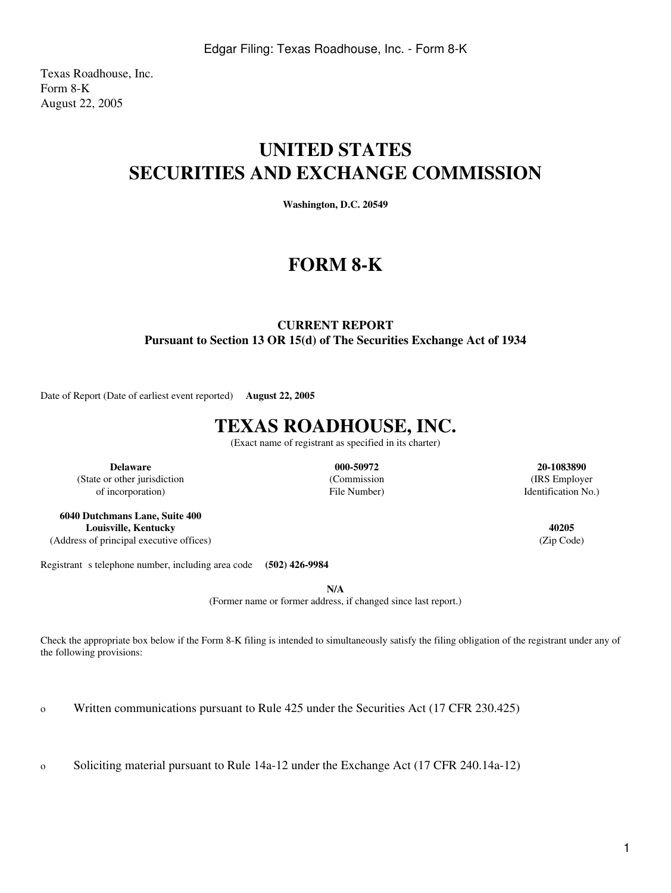Texas Roadhouse, Inc. Form 8-K August 22, 2005

## **UNITED STATES SECURITIES AND EXCHANGE COMMISSION**

**Washington, D.C. 20549**

## **FORM 8-K**

### **CURRENT REPORT Pursuant to Section 13 OR 15(d) of The Securities Exchange Act of 1934**

Date of Report (Date of earliest event reported) **August 22, 2005**

# **TEXAS ROADHOUSE, INC.**

(Exact name of registrant as specified in its charter)

**Delaware 000-50972 20-1083890** (State or other jurisdiction (Commission (IRS Employer

**6040 Dutchmans Lane, Suite 400 Louisville, Kentucky 40205** (Address of principal executive offices) (Zip Code)

of incorporation) and the set of incorporation  $\mathbb{R}^2$  File Number) and  $\mathbb{R}^2$  Identification No.)

Registrant s telephone number, including area code **(502) 426-9984** 

**N/A**

(Former name or former address, if changed since last report.)

Check the appropriate box below if the Form 8-K filing is intended to simultaneously satisfy the filing obligation of the registrant under any of the following provisions:

o Written communications pursuant to Rule 425 under the Securities Act (17 CFR 230.425)

o Soliciting material pursuant to Rule 14a-12 under the Exchange Act (17 CFR 240.14a-12)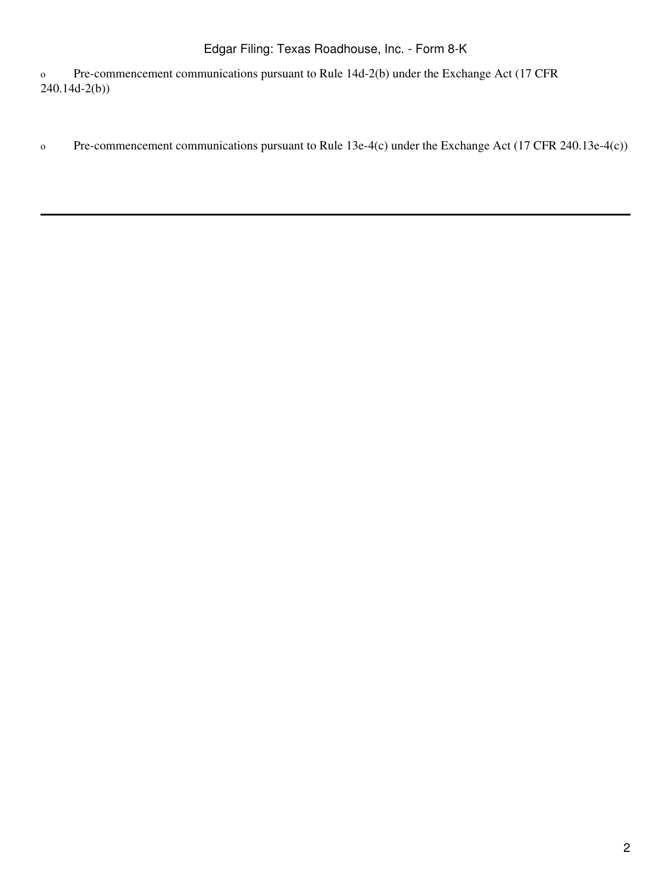o Pre-commencement communications pursuant to Rule 14d-2(b) under the Exchange Act (17 CFR 240.14d-2(b))

o Pre-commencement communications pursuant to Rule 13e-4(c) under the Exchange Act (17 CFR 240.13e-4(c))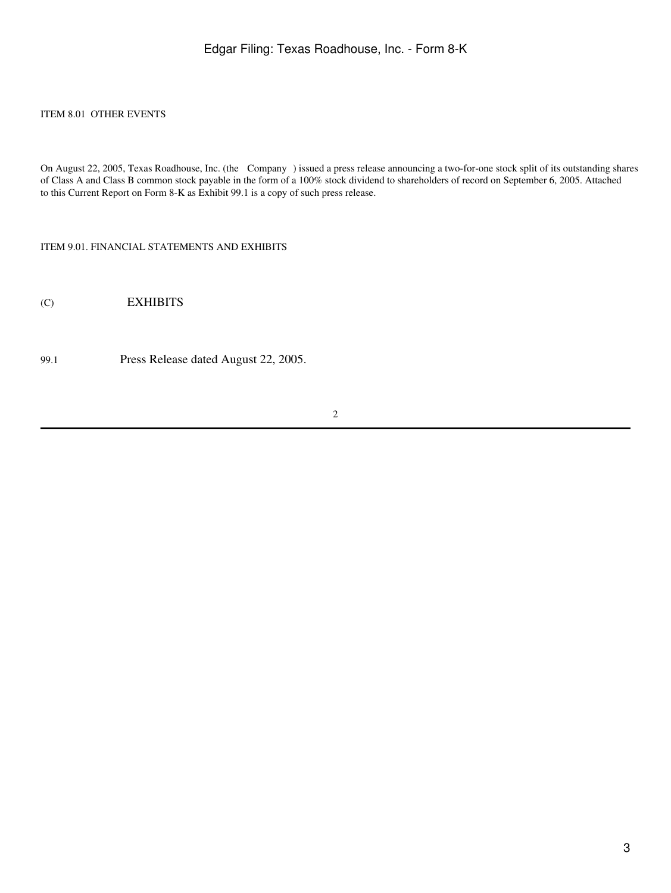#### ITEM 8.01 OTHER EVENTS

On August 22, 2005, Texas Roadhouse, Inc. (the Company) issued a press release announcing a two-for-one stock split of its outstanding shares of Class A and Class B common stock payable in the form of a 100% stock dividend to shareholders of record on September 6, 2005. Attached to this Current Report on Form 8-K as Exhibit 99.1 is a copy of such press release.

ITEM 9.01. FINANCIAL STATEMENTS AND EXHIBITS

(C) EXHIBITS

99.1 Press Release dated August 22, 2005.

2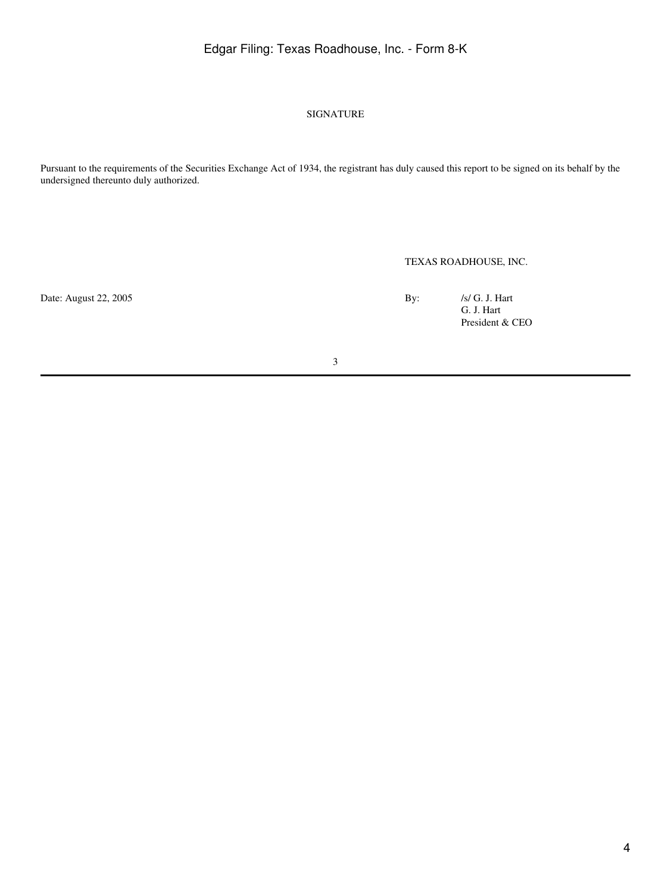### Edgar Filing: Texas Roadhouse, Inc. - Form 8-K

#### SIGNATURE

Pursuant to the requirements of the Securities Exchange Act of 1934, the registrant has duly caused this report to be signed on its behalf by the undersigned thereunto duly authorized.

TEXAS ROADHOUSE, INC.

Date: August 22, 2005 By: /s/ G. J. Hart G. J. Hart President & CEO

3